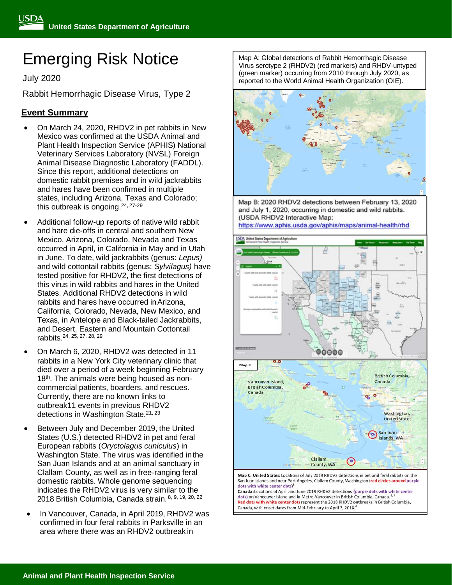# Emerging Risk Notice

July 2020

Rabbit Hemorrhagic Disease Virus, Type 2

# **Event Summary**

- On March 24, 2020, RHDV2 in pet rabbits in New Mexico was confirmed at the USDA Animal and Plant Health Inspection Service (APHIS) National Veterinary Services Laboratory (NVSL) Foreign Animal Disease Diagnostic Laboratory (FADDL). Since this report, additional detections on domestic rabbit premises and in wild jackrabbits and hares have been confirmed in multiple states, including Arizona, Texas and Colorado; this outbreak is ongoing.<sup>24, 27-29</sup>
- Additional follow-up reports of native wild rabbit and hare die-offs in central and southern New Mexico, Arizona, Colorado, Nevada and Texas occurred in April, in California in May and in Utah in June. To date, wild jackrabbits (genus: *Lepus)*  and wild cottontail rabbits (genus: *Sylvilagus)* have tested positive for RHDV2, the first detections of this virus in wild rabbits and hares in the United States. Additional RHDV2 detections in wild rabbits and hares have occurred inArizona, California, Colorado, Nevada, New Mexico, and Texas, in Antelope and Black-tailed Jackrabbits, and Desert, Eastern and Mountain Cottontail rabbits. 24, 25, 27, 28, 29
- On March 6, 2020, RHDV2 was detected in 11 rabbits in a New York City veterinary clinic that died over a period of a week beginning February 18<sup>th</sup>. The animals were being housed as noncommercial patients, boarders, and rescues. Currently, there are no known links to outbreak11 events in previous RHDV2 detections in Washington State.<sup>21, 23</sup>
- Between July and December 2019, the United States (U.S.) detected RHDV2 in pet and feral European rabbits (*Oryctolagus cuniculus*) in Washington State. The virus was identified inthe San Juan Islands and at an animal sanctuary in Clallam County, as well as in free-ranging feral domestic rabbits. Whole genome sequencing indicates the RHDV2 virus is very similar to the 2018 British Columbia, Canada strain. 8, 9, 19, 20, 22
- In Vancouver, Canada, in April 2019, RHDV2 was confirmed in four feral rabbits in Parksville in an area where there was an RHDV2 outbreak in

Map A: Global detections of Rabbit Hemorrhagic Disease Virus serotype 2 (RHDV2) (red markers) and RHDV-untyped (green marker) occurring from 2010 through July 2020, as reported to the World Animal Health Organization (OIE).



Map B: 2020 RHDV2 detections between February 13, 2020 and July 1, 2020, occurring in domestic and wild rabbits. (USDA RHDV2 Interactive Map: https://www.aphis.usda.gov/aphis/maps/animal-health/rhd



San Juan islands and near Port Angeles, Clallam County, Washington (red circles around purple dots with white center dots)<sup>8</sup> Canada: Locations of April and June 2019 RHDV2 detections (purple dots with white center dots) on Vancouver Island and in Metro-Vancouver in British Columbia, Canada.

Red dots with white center dots represent the 2018 RHDV2 outbreaks in British Columbia, Canada, with onset dates from Mid-February to April 7, 2018.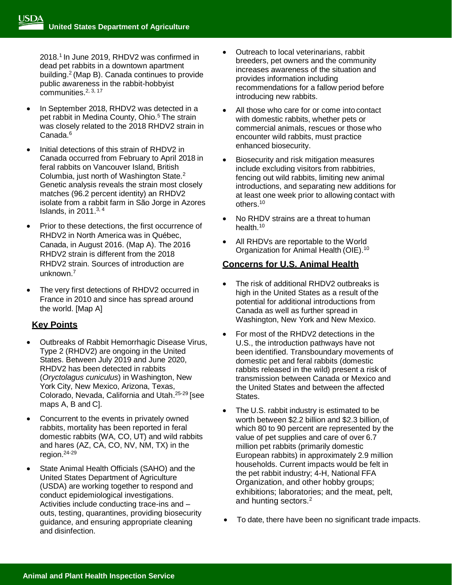2018.<sup>1</sup> In June 2019, RHDV2 was confirmed in dead pet rabbits in a downtown apartment building.<sup>2</sup>(Map B). Canada continues to provide public awareness in the rabbit-hobbyist communities.2, 3, 17

- In September 2018, RHDV2 was detected in a pet rabbit in Medina County, Ohio.<sup>5</sup> The strain was closely related to the 2018 RHDV2 strain in Canada.<sup>6</sup>
- Initial detections of this strain of RHDV2 in Canada occurred from February to April 2018 in feral rabbits on Vancouver Island, British Columbia, just north of Washington State.<sup>2</sup> Genetic analysis reveals the strain most closely matches (96.2 percent identity) an RHDV2 isolate from a rabbit farm in São Jorge in Azores Islands, in  $2011^{3,4}$
- Prior to these detections, the first occurrence of RHDV2 in North America was in Québec, Canada, in August 2016. (Map A). The 2016 RHDV2 strain is different from the 2018 RHDV2 strain. Sources of introduction are unknown.<sup>7</sup>
- The very first detections of RHDV2 occurred in France in 2010 and since has spread around the world. [Map A]

## **Key Points**

- Outbreaks of Rabbit Hemorrhagic Disease Virus, Type 2 (RHDV2) are ongoing in the United States. Between July 2019 and June 2020, RHDV2 has been detected in rabbits (*Oryctolagus cuniculus*) in Washington, New York City, New Mexico, Arizona, Texas, Colorado, Nevada, California and Utah.<sup>25-29</sup> [see maps A, B and C].
- Concurrent to the events in privately owned rabbits, mortality has been reported in feral domestic rabbits (WA, CO, UT) and wild rabbits and hares (AZ, CA, CO, NV, NM, TX) in the region. 24-29
- State Animal Health Officials (SAHO) and the United States Department of Agriculture (USDA) are working together to respond and conduct epidemiological investigations. Activities include conducting trace-ins and – outs, testing, quarantines, providing biosecurity guidance, and ensuring appropriate cleaning and disinfection.
- Outreach to local veterinarians, rabbit breeders, pet owners and the community increases awareness of the situation and provides information including recommendations for a fallow period before introducing new rabbits.
- All those who care for or come into contact with domestic rabbits, whether pets or commercial animals, rescues or those who encounter wild rabbits, must practice enhanced biosecurity.
- Biosecurity and risk mitigation measures include excluding visitors from rabbitries, fencing out wild rabbits, limiting new animal introductions, and separating new additions for at least one week prior to allowing contact with others.<sup>10</sup>
- No RHDV strains are a threat to human health.<sup>10</sup>
- All RHDVs are reportable to the World Organization for Animal Health (OIE).<sup>10</sup>

# **Concerns for U.S. Animal Health**

- The risk of additional RHDV2 outbreaks is high in the United States as a result of the potential for additional introductions from Canada as well as further spread in Washington, New York and New Mexico.
- For most of the RHDV2 detections in the U.S., the introduction pathways have not been identified. Transboundary movements of domestic pet and feral rabbits (domestic rabbits released in the wild) present a risk of transmission between Canada or Mexico and the United States and between the affected States.
- The U.S. rabbit industry is estimated to be worth between \$2.2 billion and \$2.3 billion,of which 80 to 90 percent are represented by the value of pet supplies and care of over 6.7 million pet rabbits (primarily domestic European rabbits) in approximately 2.9 million households. Current impacts would be felt in the pet rabbit industry; 4-H, National FFA Organization, and other hobby groups; exhibitions; laboratories; and the meat, pelt, and hunting sectors.<sup>2</sup>
- To date, there have been no significant trade impacts.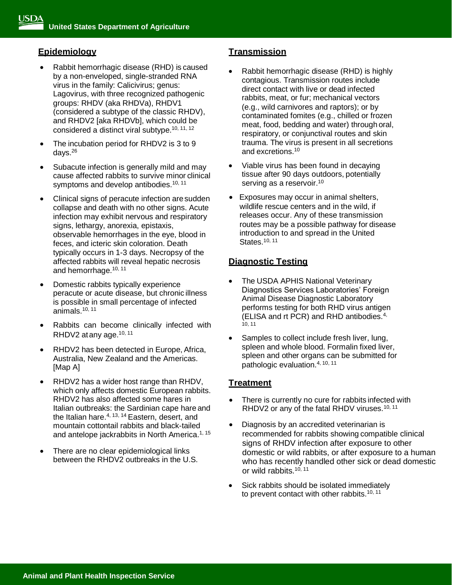## **Epidemiology**

- Rabbit hemorrhagic disease (RHD) is caused by a non-enveloped, single-stranded RNA virus in the family: Calicivirus; genus: Lagovirus, with three recognized pathogenic groups: RHDV (aka RHDVa), RHDV1 (considered a subtype of the classic RHDV), and RHDV2 [aka RHDVb], which could be considered a distinct viral subtype.10, 11, <sup>12</sup>
- The incubation period for RHDV2 is 3 to 9 days. $26$
- Subacute infection is generally mild and may cause affected rabbits to survive minor clinical symptoms and develop antibodies.<sup>10, 11</sup>
- Clinical signs of peracute infection are sudden collapse and death with no other signs. Acute infection may exhibit nervous and respiratory signs, lethargy, anorexia, epistaxis, observable hemorrhages in the eye, blood in feces, and icteric skin coloration. Death typically occurs in 1-3 days. Necropsy of the affected rabbits will reveal hepatic necrosis and hemorrhage.10, 11
- Domestic rabbits typically experience peracute or acute disease, but chronic illness is possible in small percentage of infected animals.10, 11
- Rabbits can become clinically infected with RHDV2 at any age.<sup>10, 11</sup>
- RHDV2 has been detected in Europe, Africa, Australia, New Zealand and the Americas. [Map A]
- RHDV2 has a wider host range than RHDV, which only affects domestic European rabbits. RHDV2 has also affected some hares in Italian outbreaks: the Sardinian cape hare and the Italian hare.<sup>4, 13, 14</sup> Eastern, desert, and mountain cottontail rabbits and black-tailed and antelope jackrabbits in North America.<sup>1, 15</sup>
- There are no clear epidemiological links between the RHDV2 outbreaks in the U.S.

## **Transmission**

- Rabbit hemorrhagic disease (RHD) is highly contagious. Transmission routes include direct contact with live or dead infected rabbits, meat, or fur; mechanical vectors (e.g., wild carnivores and raptors); or by contaminated fomites (e.g., chilled or frozen meat, food, bedding and water) through oral, respiratory, or conjunctival routes and skin trauma. The virus is present in all secretions and excretions.<sup>10</sup>
- Viable virus has been found in decaying tissue after 90 days outdoors, potentially serving as a reservoir.<sup>10</sup>
- Exposures may occur in animal shelters, wildlife rescue centers and in the wild, if releases occur. Any of these transmission routes may be a possible pathway for disease introduction to and spread in the United States.10, <sup>11</sup>

### **Diagnostic Testing**

- The USDA APHIS National Veterinary Diagnostics Services Laboratories' Foreign Animal Disease Diagnostic Laboratory performs testing for both RHD virus antigen (ELISA and rt PCR) and RHD antibodies.4, 10, 11
- Samples to collect include fresh liver, lung, spleen and whole blood. Formalin fixed liver, spleen and other organs can be submitted for pathologic evaluation.4, 10, 11

### **Treatment**

- There is currently no cure for rabbits infected with RHDV2 or any of the fatal RHDV viruses.<sup>10, 11</sup>
- Diagnosis by an accredited veterinarian is recommended for rabbits showing compatible clinical signs of RHDV infection after exposure to other domestic or wild rabbits, or after exposure to a human who has recently handled other sick or dead domestic or wild rabbits.<sup>10, 11</sup>
- Sick rabbits should be isolated immediately to prevent contact with other rabbits.<sup>10, 11</sup>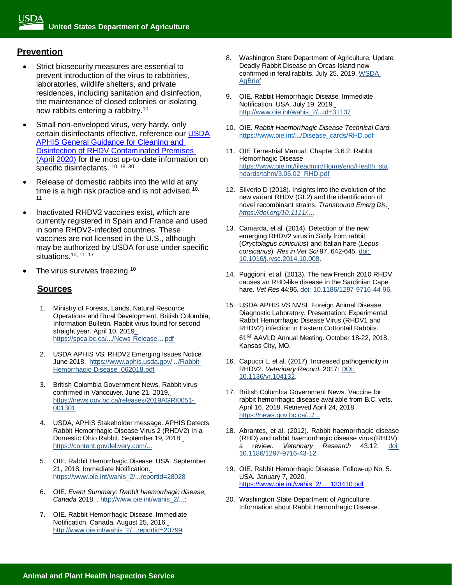#### **Prevention**

- Strict biosecurity measures are essential to prevent introduction of the virus to rabbitries, laboratories, wildlife shelters, and private residences, including sanitation and disinfection, the maintenance of closed colonies or isolating new rabbits entering a rabbitry.<sup>10</sup>
- Small non-enveloped virus, very hardy, only certain disinfectants effective, reference our [USDA](https://www.aphis.usda.gov/animal_health/downloads/rhdv-cleaning-guidance.pdf)  [APHIS General Guidance for Cleaning and](https://www.aphis.usda.gov/animal_health/downloads/rhdv-cleaning-guidance.pdf)  [Disinfection of RHDV Contaminated Premises](https://www.aphis.usda.gov/animal_health/downloads/rhdv-cleaning-guidance.pdf)  [\(April 2020\)](https://www.aphis.usda.gov/animal_health/downloads/rhdv-cleaning-guidance.pdf) for the most up-to-date information on specific disinfectants. 10, 18, 30
- Release of domestic rabbits into the wild at any time is a high risk practice and is not advised.<sup>10,</sup> 11
- Inactivated RHDV2 vaccines exist, which are currently registered in Spain and France and used in some RHDV2-infected countries. These vaccines are not licensed in the U.S., although may be authorized by USDA for use under specific situations.<sup>10, 11, 17</sup>
- The virus survives freezing.<sup>10</sup>

#### **Sources**

- 1. Ministry of Forests, Lands, Natural Resource Operations and Rural Development, British Colombia, Information Bulletin, Rabbit virus found for second straight year. April 10, 201[9.](https://spca.bc.ca/wp-content/uploads/News-Release-from-the-Ministry-of-Forests-Lands-Natural-Resource-Operations-and-Rural-Development-and-Ministry-of-Agriculture.pdf) [https://spca.bc.ca/.../News-Release...](https://spca.bc.ca/wp-content/uploads/News-Release-from-the-Ministry-of-Forests-Lands-Natural-Resource-Operations-and-Rural-Development-and-Ministry-of-Agriculture.pdf) pdf
- 2. USDA APHIS VS. RHDV2 Emerging Issues Notice. June 2018. [https://www.aphis.usda.gov/](https://www.aphis.usda.gov/animal_health/downloads/Rabbit-Hemorrhagic-Disease_062018.pdf) ../Rabbit-[Hemorrhagic-Disease\\_062018.pdf](https://www.aphis.usda.gov/animal_health/downloads/Rabbit-Hemorrhagic-Disease_062018.pdf)
- 3. British Colombia Government News, Rabbit virus confirmed in Vancouver. June 21, 201[9.](https://news.gov.bc.ca/releases/2019AGRI0051-001301) [https://news.gov.bc.ca/releases/2019AGRI0051-](https://news.gov.bc.ca/releases/2019AGRI0051-001301) [001301](https://news.gov.bc.ca/releases/2019AGRI0051-001301)
- 4. USDA, APHIS Stakeholder message. APHIS Detects Rabbit Hemorrhagic Disease Virus 2 (RHDV2) In a Domestic Ohio Rabbit. September 19, 201[8.](https://content.govdelivery.com/.../bulletins/2109b9f) [https://content.govdelivery.com/...](https://content.govdelivery.com/.../bulletins/2109b9f)
- 5. OIE. Rabbit Hemorrhagic Disease. USA. September 21, 2018. Immediate Notificatio[n.](https://www.oie.int/wahis_2/public/wahid.php/Reviewreport/Review?reportid=28028) [https://www.oie.int/wahis\\_2/...reportid=28028](https://www.oie.int/wahis_2/public/wahid.php/Reviewreport/Review?reportid=28028)
- 6. OIE. *Event Summary: Rabbit haemorrhagic disease, Canada* 2018. . [http://www.oie.int/wahis\\_2/...;](http://www.oie.int/wahis_2/public/wahid.php/Reviewreport/Review?reportid=26295)
- 7. OIE. Rabbit Hemorrhagic Disease. Immediate Notification. Canada. August 25, 2016[.](http://www.oie.int/wahis_2/public/wahid.php/Reviewreport/Review?page_refer=MapFullEventReport&reportid=20799) [http://www.oie.int/wahis\\_2/...reportid=20799](http://www.oie.int/wahis_2/public/wahid.php/Reviewreport/Review?page_refer=MapFullEventReport&reportid=20799)
- 8. Washington State Department of Agriculture. Update: Deadly Rabbit Disease on Orcas Island now confirmed in feral rabbits. July 25, 2019. [WSDA](https://wastatedeptag.blogspot.com/2019/07/update-deadly-rabbit-disease-on-orcas.html) **[AgBrief](https://wastatedeptag.blogspot.com/2019/07/update-deadly-rabbit-disease-on-orcas.html)**
- 9. OIE. Rabbit Hemorrhagic Disease. Immediate Notification. USA. July 19, 201[9.](http://www.oie.int/wahis_2/public/wahid.php/Reviewreport/Review?page_refer=MapFullEventReport&reportid=31137) [http://www.oie.int/wahis\\_2/...id=31137](http://www.oie.int/wahis_2/public/wahid.php/Reviewreport/Review?page_refer=MapFullEventReport&reportid=31137)
- 10. OIE. *Rabbit Haemorrhagic Disease Technical Card.* [https://www.oie.int/.../Disease\\_cards/RHD.pdf](https://www.oie.int/fileadmin/Home/eng/Animal_Health_in_the_World/docs/pdf/Disease_cards/RHD.pdf)
- 11. OIE Terrestrial Manual. Chapter 3.6.2. Rabbit Hemorrhagic Disease [https://www.oie.int/fileadmin/Home/eng/Health\\_sta](https://www.oie.int/fileadmin/Home/eng/Health_standards/tahm/3.06.02_RHD.pdf) [ndards/tahm/3.06.02\\_RHD.pdf](https://www.oie.int/fileadmin/Home/eng/Health_standards/tahm/3.06.02_RHD.pdf)
- 12. Silverio D (2018). Insights into the evolution of the new variant RHDV (GI.2) and the identification of novel recombinant strains. *Transbound Emerg Dis[.](https://doi.org/10.1111/tbed.12830) [https://doi.org/10.1111/...](https://doi.org/10.1111/tbed.12830)*.
- 13. Camarda, et al. (2014). Detection of the new emerging RHDV2 virus in Sicily from rabbit (*Oryctolagus cuniculus*) and Italian hare (*Lepus corsicanus*). *Res in Vet Sci* 97, 642-645. [doi:](https://doi.org/10.1016/j.rvsc.2014.10.008) [10.1016/j.rvsc.2014.10.008.](https://doi.org/10.1016/j.rvsc.2014.10.008)
- 14. Puggioni, et al. (2013). The new French 2010 RHDV causes an RHD-like disease in the Sardinian Cape hare. *Vet Res* 44:96. doi: [10.1186/1297-9716-44-96.](https://doi.org/10.1186/1297-9716-44-96)
- 15. USDA APHIS VS NVSL Foreign Animal Disease Diagnostic Laboratory. Presentation: Experimental Rabbit Hemorrhagic Disease Virus (RHDV1 and RHDV2) infection in Eastern Cottontail Rabbits. 61<sup>st</sup> AAVLD Annual Meeting. October 18-22, 2018. Kansas City, MO.
- 16. Capucci L, et al. (2017). Increased pathogenicity in RHDV2. *Veterinary Record*. 2017: [DOI:](https://www.researchgate.net/publication/315628057_Increased_pathogenicity_in_rabbit_haemorrhagic_disease_virus_type_2_RHDV2?amp%3Bel=1_x_2&%3BenrichId=rgreq-6426caba3020ef749408eabeb704f53d-XXX&%3BenrichSource=Y292ZXJQYWdlOzMxNTYyODA1NztBUzo1MTIwMzU5ODIxODg1NDRAMTQ5OTA5MDI5OTMyNA%3D%3D) [10.1136/vr.104132.](https://www.researchgate.net/publication/315628057_Increased_pathogenicity_in_rabbit_haemorrhagic_disease_virus_type_2_RHDV2?amp%3Bel=1_x_2&%3BenrichId=rgreq-6426caba3020ef749408eabeb704f53d-XXX&%3BenrichSource=Y292ZXJQYWdlOzMxNTYyODA1NztBUzo1MTIwMzU5ODIxODg1NDRAMTQ5OTA5MDI5OTMyNA%3D%3D)
- 17. British Columbia Government News. Vaccine for rabbit hemorrhagic disease available from B.C. vets. April 16, 2018. Retrieved April 24, 201[8](https://news.gov.bc.ca/releases/2018AGRI0022-000647) [https://news.gov.bc.ca/.../...](https://news.gov.bc.ca/releases/2018AGRI0022-000647)
- 18. Abrantes, et al. (2012). Rabbit haemorrhagic disease (RHD) and rabbit haemorrhagic disease virus (RHDV): a review. *Veterinary Research* 43:12. [doi:](https://doi.org/10.1186/1297-9716-43-12) [10.1186/1297-9716-43-12.](https://doi.org/10.1186/1297-9716-43-12)
- 19. OIE. Rabbit Hemorrhagic Disease. Follow-up No. 5. USA. January 7, 2020. [https://www.oie.int/wahis\\_2/...\\_133410.pdf](https://www.oie.int/wahis_2/..._133410.pdf)
- 20. Washington State Department of Agriculture. Information about Rabbit Hemorrhagic Disease.